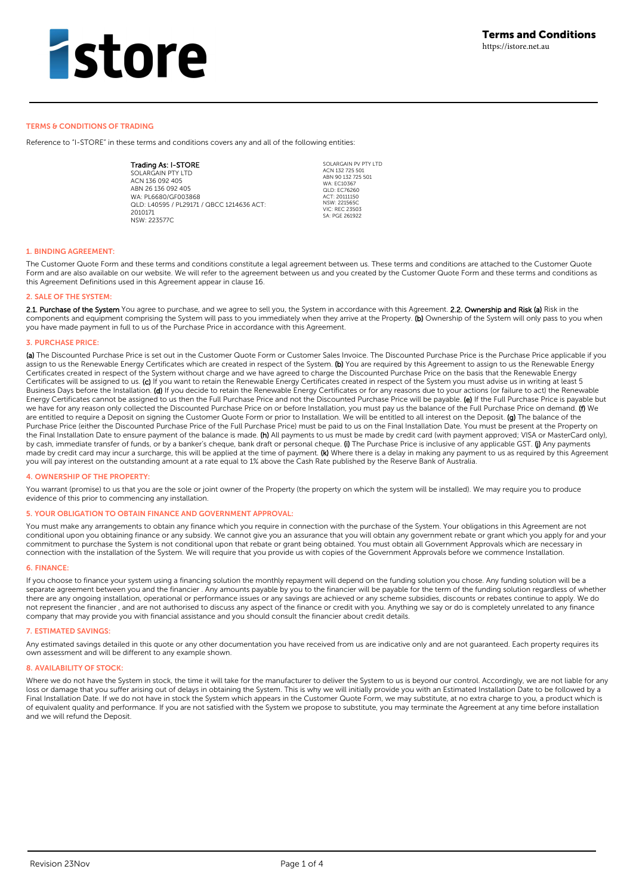#### TERMS & CONDITIONS OF TRADING

Reference to "I-STORE" in these terms and conditions covers any and all of the following entities:

Trading As: I-STORE SOLARGAIN PTY LTD ACN 136 092 405 ABN 26 136 092 405 WA: PL6680/GF003868 QLD: L40595 / PL29171 / QBCC 1214636 ACT: 2010171  $N$ CW: 227577C

SOLARGAIN PV PTY LTD ACN 132 725 501 ABN 90 132 725 501 WA: **FC10367** MIL LULUSON ACT: 20111150 NSW: 221565C VIC: REC 23503 SA: PGE 261922

### **1. BINDING AGREEMENT:**

The Customer Quote Form and these terms and conditions constitute a legal agreement between us. These terms and conditions are attached to the Customer Quote Form and are also available on our website. We will refer to the agreement between us and you created by the Customer Quote Form and these terms and conditions as this Agreement Definitions used in this Agreement appear in clause 16.

#### **2. SALE OF THE SYSTEM:**

2.1. Purchase of the System You agree to purchase, and we agree to sell you, the System in accordance with this Agreement. 2.2. Ownership and Risk (a) Risk in the components and equipment comprising the System will pass to you immediately when they arrive at the Property. (b) Ownership of the System will only pass to you when you have made payment in full to us of the Purchase Price in accordance with this Agreement.

#### **3. PURCHASE PRICE:**

(a) The Discounted Purchase Price is set out in the Customer Quote Form or Customer Sales Invoice. The Discounted Purchase Price is the Purchase Price applicable if you assign to us the Renewable Energy Certificates which are created in respect of the System. (b) You are required by this Agreement to assign to us the Renewable Energy Certificates created in respect of the System without charge and we have agreed to charge the Discounted Purchase Price on the basis that the Renewable Energy Certificates will be assigned to us. (c) If you want to retain the Renewable Energy Certificates created in respect of the System you must advise us in writing at least 5 Business Days before the Installation. (d) If you decide to retain the Renewable Energy Certificates or for any reasons due to your actions (or failure to act) the Renewable Energy Certificates cannot be assigned to us then the Full Purchase Price and not the Discounted Purchase Price will be payable. (e) If the Full Purchase Price is payable but we have for any reason only collected the Discounted Purchase Price on or before Installation, you must pay us the balance of the Full Purchase Price on demand. (f) We are entitled to require a Deposit on signing the Customer Quote Form or prior to Installation. We will be entitled to all interest on the Deposit. (g) The balance of the Purchase Price (either the Discounted Purchase Price of the Full Purchase Price) must be paid to us on the Final Installation Date. You must be present at the Property on the Final Installation Date to ensure payment of the balance is made. (h) All payments to us must be made by credit card (with payment approved; VISA or MasterCard only), by cash, immediate transfer of funds, or by a banker's cheque, bank draft or personal cheque. (i) The Purchase Price is inclusive of any applicable GST. (j) Any payments made by credit card may incur a surcharge, this will be applied at the time of payment. (k) Where there is a delay in making any payment to us as required by this Agreement you will pay interest on the outstanding amount at a rate equal to 1% above the Cash Rate published by the Reserve Bank of Australia.

#### **4. OWNERSHIP OF THE PROPERTY:**

You warrant (promise) to us that you are the sole or joint owner of the Property (the property on which the system will be installed). We may require you to produce evidence of this prior to commencing any installation.

#### **5. YOUR OBLIGATION TO OBTAIN FINANCE AND GOVERNMENT APPROVAL:**

You must make any arrangements to obtain any finance which you require in connection with the purchase of the System. Your obligations in this Agreement are not conditional upon you obtaining finance or any subsidy. We cannot give you an assurance that you will obtain any government rebate or grant which you apply for and your commitment to purchase the System is not conditional upon that rebate or grant being obtained. You must obtain all Government Approvals which are necessary in connection with the installation of the System. We will require that you provide us with copies of the Government Approvals before we commence Installation.

#### **6. FINANCE:**

If you choose to finance your system using a financing solution the monthly repayment will depend on the funding solution you chose. Any funding solution will be a separate agreement between you and the financier . Any amounts payable by you to the financier will be payable for the term of the funding solution regardless of whether there are any ongoing installation, operational or performance issues or any savings are achieved or any scheme subsidies, discounts or rebates continue to apply. We do not represent the financier , and are not authorised to discuss any aspect of the finance or credit with you. Anything we say or do is completely unrelated to any finance company that may provide you with financial assistance and you should consult the financier about credit details.

#### **7. ESTIMATED SAVINGS:**

Any estimated savings detailed in this quote or any other documentation you have received from us are indicative only and are not guaranteed. Each property requires its own assessment and will be different to any example shown.

### **8. AVAILABILITY OF STOCK:**

Where we do not have the System in stock, the time it will take for the manufacturer to deliver the System to us is beyond our control. Accordingly, we are not liable for any loss or damage that you suffer arising out of delays in obtaining the System. This is why we will initially provide you with an Estimated Installation Date to be followed by a Final Installation Date. If we do not have in stock the System which appears in the Customer Quote Form, we may substitute, at no extra charge to you, a product which is of equivalent quality and performance. If you are not satisfied with the System we propose to substitute, you may terminate the Agreement at any time before installation and we will refund the Deposit.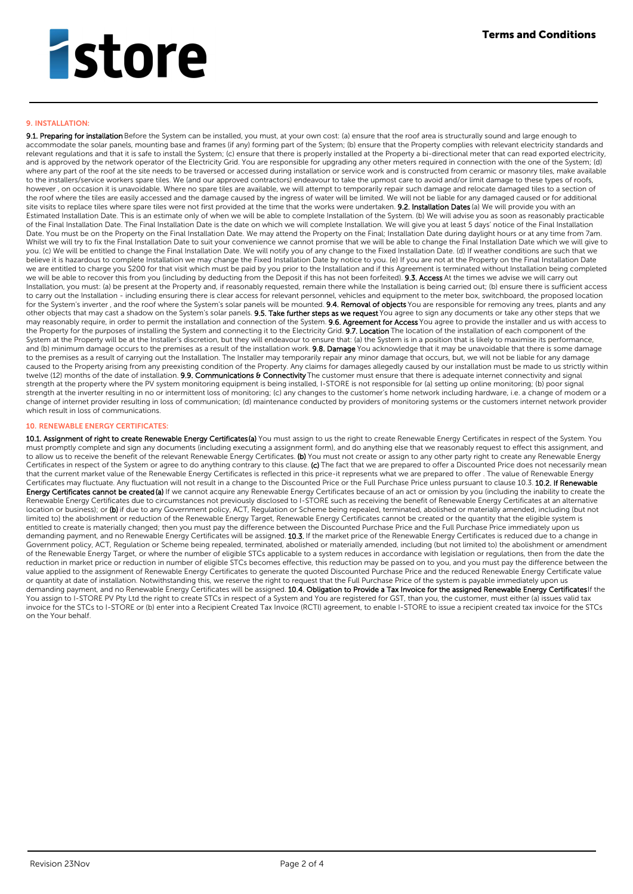## **9. INSTALLATION:**

9.1. Preparing for installation Before the System can be installed, you must, at your own cost: (a) ensure that the roof area is structurally sound and large enough to accommodate the solar panels, mounting base and frames (if any) forming part of the System; (b) ensure that the Property complies with relevant electricity standards and relevant regulations and that it is safe to install the System; (c) ensure that there is properly installed at the Property a bi-directional meter that can read exported electricity, and is approved by the network operator of the Electricity Grid. You are responsible for upgrading any other meters required in connection with the one of the System; (d) and is approved by the network operator of the Elec where any part of the roof at the site needs to be traversed or accessed during installation or service work and is constructed from ceramic or masonry tiles, make available where any part of the roof at the site needs to to the installers/service workers spare tiles. We (and our approved contractors) endeavour to take the upmost care to avoid and/or limit damage to these types of roofs, however , on occasion it is unavoidable. Where no spare tiles are available, we will attempt to temporarily repair such damage and relocate damaged tiles to a section of the roof where the tiles are easily accessed and the damage caused by the ingress of water will be limited. We will not be liable for any damaged caused or for additional site visits to replace tiles where spare tiles were not first provided at the time that the works were undertaken. 9.2. Installation Dates (a) We will provide you with an site visits to replace tiles where spare tiles were Estimated Installation Date. This is an estimate only of when we will be able to complete Installation of the System. (b) We will advise you as soon as reasonably practicable of the Final Installation Date. The Final Installation Date is the date on which we will complete Installation. We will give you at least 5 days' notice of the Final Installation Date. You must be on the Property on the Final Installation Date. We may attend the Property on the Final; Installation Date during daylight hours or at any time from 7am. Whilst we will try to fix the Final Installation Date to suit your convenience we cannot promise that we will be able to change the Final Installation Date which we will give to you. (c) We will be entitled to change the Final Installation Date. We will notify you of any change to the Fixed Installation Date. (d) If weather conditions are such that we believe it is hazardous to complete Installation we may change the Fixed Installation Date by notice to you. (e) If you are not at the Property on the Final Installation Date we are entitled to charge you \$200 for that visit which must be paid by you prior to the Installation and if this Agreement is terminated without Installation being completed we will be able to recover this from you (including by deducting from the Deposit if this has not been forfeited). 9.3. Access At the times we advise we will carry out Installation, you must: (a) be present at the Property and, if reasonably requested, remain there while the Installation is being carried out; (b) ensure there is sufficient access to carry out the Installation - including ensuring there is clear access for relevant personnel, vehicles and equipment to the meter box, switchboard, the proposed location for the System's inverter, and the roof where the System's solar panels will be mounted. 9.4. Removal of objects You are responsible for removing any trees, plants and any other objects that may cast a shadow on the System's solar panels. 9.5. Take further steps as we request You agree to sign any documents or take any other steps that we may reasonably require, in order to permit the installation and connection of the System. **9.6. Agreement for Access** You agree to provide the installer and us with access to the Property for the purposes of installing the System and connecting it to the Electricity Grid. 9.7. Location The location of the installation of each component of the System at the Property will be at the Installer's discretion, but they will endeavour to ensure that: (a) the System is in a position that is likely to maximise its performance, and (b) minimum damage occurs to the premises as a result of the installation work. 9.8. Damage You acknowledge that it may be unavoidable that there is some damage to the premises as a result of carrying out the Installation. The Installer may temporarily repair any minor damage that occurs, but, we will not be liable for any damage caused to the Property arising from any preexisting condition of the Property. Any claims for damages allegedly caused by our installation must be made to us strictly within twelve (12) months of the date of installation. 9.9. Communications & Connectivity The customer must ensure that there is adequate internet connectivity and signal strength at the property where the PV system monitoring equipment is being installed, I-STORE is not responsible for (a) setting up online monitoring; (b) poor signal strength at the inverter resulting in no or intermittent loss of monitoring; (c) any changes to the customer's home network including hardware, i.e. a change of modem or a change of internet provider resulting in loss of communication; (d) maintenance conducted by providers of monitoring systems or the customers internet network provider which result in loss of communications.

## **10. RENEWABLE ENERGY CERTIFICATES:**

10.1. Assignment of right to create Renewable Energy Certificates(a) You must assign to us the right to create Renewable Energy Certificates in respect of the System. You must promptly complete and sign any documents (including executing a assignment form), and do anything else that we reasonably request to effect this assignment, and to allow us to receive the benefit of the relevant Renewable Energy Certificates. (b) You must not create or assign to any other party right to create any Renewable Energy Certificates in respect of the System or agree to do anything contrary to this clause. (c) The fact that we are prepared to offer a Discounted Price does not necessarily mean that the current market value of the Renewable Energy Certificates is reflected in this price-it represents what we are prepared to offer . The value of Renewable Energy Certificates may fluctuate. Any fluctuation will not result in a change to the Discounted Price or the Full Purchase Price unless pursuant to clause 10.3. 10.2. If Renewable Energy Certificates cannot be created (a) If we cannot acquire any Renewable Energy Certificates because of an act or omission by you (including the inability to create the Renewable Energy Certificates due to circumstances not previously disclosed to I-STORE such as receiving the benefit of Renewable Energy Certificates at an alternative location or business); or (b) if due to any Government policy, ACT, Regulation or Scheme being repealed, terminated, abolished or materially amended, including (but not limited to) the abolishment or reduction of the Renewable Energy Target, Renewable Energy Certificates cannot be created or the quantity that the eligible system is entitled to create is materially changed; then you must pay the difference between the Discounted Purchase Price and the Full Purchase Price immediately upon us demanding payment, and no Renewable Energy Certificates will be assigned. 10.3. If the market price of the Renewable Energy Certificates is reduced due to a change in Government policy, ACT, Regulation or Scheme being repealed, terminated, abolished or materially amended, including (but not limited to) the abolishment or amendment of the Renewable Energy Target, or where the number of eligible STCs applicable to a system reduces in accordance with legislation or regulations, then from the date the reduction in market price or reduction in number of eligible STCs becomes effective, this reduction may be passed on to you, and you must pay the difference between the value applied to the assignment of Renewable Energy Certificates to generate the quoted Discounted Purchase Price and the reduced Renewable Energy Certificate value or quantity at date of installation. Notwithstanding this, we reserve the right to request that the Full Purchase Price of the system is payable immediately upon us demanding payment, and no Renewable Energy Certificates will be assigned. 10.4. Obligation to Provide a Tax Invoice for the assigned Renewable Energy CertificatesIf the You assign to I-STORE PV Pty Ltd the right to create STCs in respect of a System and You are registered for GST, than you, the customer, must either (a) issues valid tax invoice for the STCs to I-STORE or (b) enter into a Recipient Created Tax Invoice (RCTI) agreement, to enable I-STORE to issue a recipient created tax invoice for the STCs on the Your behalf.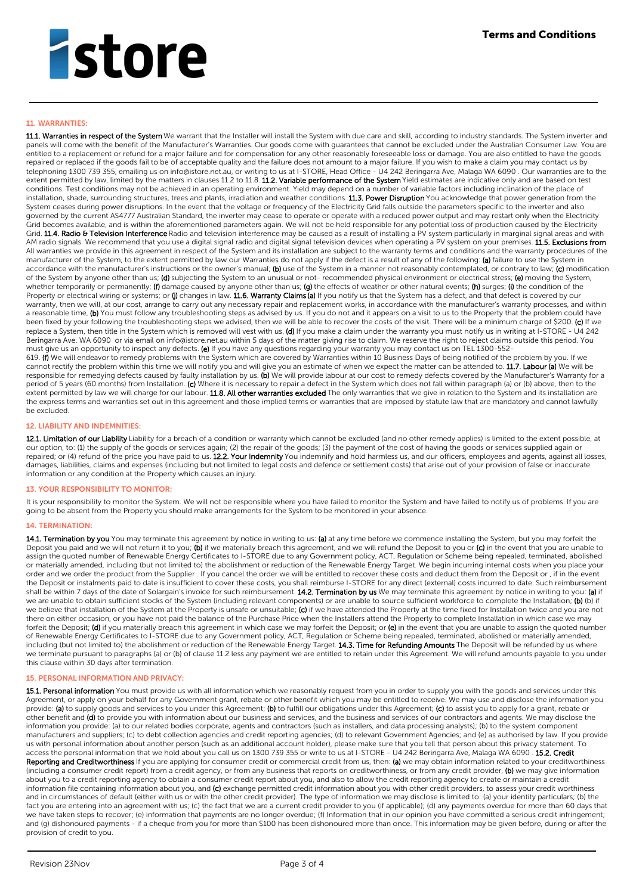### **11. WARRANTIES:**

11.1. Warranties in respect of the System We warrant that the Installer will install the System with due care and skill, according to industry standards. The System inverter and panels will come with the benefit of the Manufacturer's Warranties. Our goods come with guarantees that cannot be excluded under the Australian Consumer Law. You are entitled to a replacement or refund for a major failure and for compensation for any other reasonably foreseeable loss or damage. You are also entitled to have the goods repaired or replaced if the goods fail to be of acceptable quality and the failure does not amount to a major failure. If you wish to make a claim you may contact us by telephoning 1300 739 355, emailing us on info@istore.net.au, or writing to us at I-STORE, Head Office - U4 242 Beringarra Ave, Malaga WA 6090 . Our warranties are to the extent permitted by law, limited by the matters in clauses 11.2 to 11.8. **11.2. Variable performance of the System** Yield estimates are indicative only and are based on test conditions. Test conditions may not be achieved in an operating environment. Yield may depend on a number of variable factors including inclination of the place of installation, shade, surrounding structures, trees and plants, irradiation and weather conditions. **11.3. Power Disruption** You acknowledge that power generation from the System ceases during power disruptions. In the event that the voltage or frequency of the Electricity Grid falls outside the parameters specific to the inverter and also governed by the current AS4777 Australian Standard, the inverter may cease to operate or operate with a reduced power output and may restart only when the Electricity Grid becomes available, and is within the aforementioned parameters again. We will not be held responsible for any potential loss of production caused by the Electricity Grid. 11.4. Radio & Television Interference Radio and television interference may be caused as a result of installing a PV system particularly in marginal signal areas and with AM radio signals. We recommend that you use a digital signal radio and digital signal television devices when operating a PV system on your premises. 11.5. Exclusions from All warranties we provide in this agreement in respect of the System and its installation are subject to the warranty terms and conditions and the warranty procedures of the manufacturer of the System, to the extent permitted by law our Warranties do not apply if the defect is a result of any of the following: (a) failure to use the System in accordance with the manufacturer's instructions or the owner's manual; (b) use of the System in a manner not reasonably contemplated, or contrary to law; (c) modification of the System by anyone other than us; (d) subjecting the System to an unusual or not- recommended physical environment or electrical stress; (e) moving the System, whether temporarily or permanently; (f) damage caused by anyone other than us; (g) the effects of weather or other natural events; (h) surges; (i) the condition of the whether temporarily or permanently; (f) damage caused Property or electrical wiring or systems; or (j) changes in law. 11.6. Warranty Claims (a) If you notify us that the System has a defect, and that defect is covered by our warranty, then we will, at our cost, arrange to carry out any necessary repair and replacement works, in accordance with the manufacturer's warranty processes, and within a reasonable time, (b) You must follow any troubleshooting steps as advised by us. If you do not and it appears on a visit to us to the Property that the problem could have been fixed by your following the troubleshooting steps we advised, then we will be able to recover the costs of the visit. There will be a minimum charge of \$200. (c) If we replace a System, then title in the System which is removed will vest with us. (d) If you make a claim under the warranty you must notify us in writing at I-STORE - U4 242 Beringarra Ave. WA 6090 or via email on info@istore.net.au within 5 days of the matter giving rise to claim. We reserve the right to reject claims outside this period. You must give us an opportunity to inspect any defects. (e) If you have any questions regarding your warranty you may contact us on TEL 1300-552-619. (f) We will endeavor to remedy problems with the System which are covered by Warranties within 10 Business Days of being notified of the problem by you. If we cannot rectify the problem within this time we will notify you and will give you an estimate of when we expect the matter can be attended to. 11.7. Labour (a) We will be responsible for remedying defects caused by faulty installation by us. (b) We will provide labour at our cost to remedy defects covered by the Manufacturer's Warranty for a period of 5 years (60 months) from Installation. (c) Where it is necessary to repair a defect in the System which does not fall within paragraph (a) or (b) above, then to the extent permitted by law we will charge for our labour. 11.8. All other warranties excluded The only warranties that we give in relation to the System and its installation are the express terms and warranties set out in this agreement and those implied terms or warranties that are imposed by statute law that are mandatory and cannot lawfully be excluded.

### **12. LIABILITY AND INDEMNITIES:**

12.1. Limitation of our Liability Liability for a breach of a condition or warranty which cannot be excluded (and no other remedy applies) is limited to the extent possible, at our option, to: (1) the supply of the goods or services again; (2) the repair of the goods; (3) the payment of the cost of having the goods or services supplied again or repaired; or (4) refund of the price you have paid to us. 12.2. Your Indemnity You indemnify and hold harmless us, and our officers, employees and agents, against all losses, damages, liabilities, claims and expenses (including but not limited to legal costs and defence or settlement costs) that arise out of your provision of false or inaccurate information or any condition at the Property which causes an injury.

### **13. YOUR RESPONSIBILITY TO MONITOR:**

It is your responsibility to monitor the System. We will not be responsible where you have failed to monitor the System and have failed to notify us of problems. If you are going to be absent from the Property you should make arrangements for the System to be monitored in your absence.

### **14. TERMINATION:**

14.1. Termination by you You may terminate this agreement by notice in writing to us: (a) at any time before we commence installing the System, but you may forfeit the Deposit you paid and we will not return it to you; (b) if we materially breach this agreement, and we will refund the Deposit to you or (c) in the event that you are unable to assign the quoted number of Renewable Energy Certificates to I-STORE due to any Government policy, ACT, Regulation or Scheme being repealed, terminated, abolished or materially amended, including (but not limited to) the abolishment or reduction of the Renewable Energy Target. We begin incurring internal costs when you place your order and we order the product from the Supplier . If you cancel the order we will be entitled to recover these costs and deduct them from the Deposit or , if in the event the Deposit or instalments paid to date is insufficient to cover these costs, you shall reimburse I-STORE for any direct (external) costs incurred to date. Such reimbursement shall be within 7 days of the date of Solargain's invoice for such reimbursement. 14.2. Termination by us We may terminate this agreement by notice in writing to you: (a) if we are unable to obtain sufficient stocks of the System (including relevant components) or are unable to source sufficient workforce to complete the Installation; **(b)** (b) if we believe that installation of the System at the Property is unsafe or unsuitable; (c) if we have attended the Property at the time fixed for Installation twice and you are not there on either occasion, or you have not paid the balance of the Purchase Price when the Installers attend the Property to complete Installation in which case we may forfeit the Deposit; (d) if you materially breach this agreement in which case we may forfeit the Deposit; or (e) in the event that you are unable to assign the quoted number of Renewable Energy Certificates to I-STORE due to any Government policy, ACT, Regulation or Scheme being repealed, terminated, abolished or materially amended, including (but not limited to) the abolishment or reduction of the Renewable Energy Target. **14.3. Time for Refunding Amounts** The Deposit will be refunded by us where we terminate pursuant to paragraphs (a) or (b) of clause 11.2 less any payment we are entitled to retain under this Agreement. We will refund amounts payable to you under this clause within 30 days after termination.

### **15. PERSONAL INFORMATION AND PRIVACY:**

15.1. Personal information You must provide us with all information which we reasonably request from you in order to supply you with the goods and services under this Agreement, or apply on your behalf for any Government grant, rebate or other benefit which you may be entitled to receive. We may use and disclose the information you provide: (a) to supply goods and services to you under this Agreement; (b) to fulfill our obligations under this Agreement; (c) to assist you to apply for a grant, rebate or other benefit and (d) to provide you with information about our business and services, and the business and services of our contractors and agents. We may disclose the information you provide: (a) to our related bodies corporate, agents and contractors (such as installers, and data processing analysts); (b) to the system component manufacturers and suppliers; (c) to debt collection agencies and credit reporting agencies; (d) to relevant Government Agencies; and (e) as authorised by law. If you provide us with personal information about another person (such as an additional account holder), please make sure that you tell that person about this privacy statement. To access the personal information that we hold about you call us on 1300 739 355 or write to us at I-STORE - U4 242 Beringarra Ave, Malaga WA 6090 . 15.2. Credit Reporting and Creditworthiness If you are applying for consumer credit or commercial credit from us, then: (a) we may obtain information related to your creditworthiness (including a consumer credit report) from a credit agency, or from any business that reports on creditworthiness, or from any credit provider, (b) we may give information about you to a credit reporting agency to obtain a consumer credit report about you, and also to allow the credit reporting agency to create or maintain a credit information file containing information about you, and (c) exchange permitted credit information about you with other credit providers, to assess your credit worthiness and in circumstances of default (either with us or with the other credit provider). The type of information we may disclose is limited to: (a) your identity particulars; (b) the fact you are entering into an agreement with us; (c) the fact that we are a current credit provider to you (if applicable); (d) any payments overdue for more than 60 days that we have taken steps to recover; (e) information that payments are no longer overdue; (f) Information that in our opinion you have committed a serious credit infringement; and (g) dishonoured payments - if a cheque from you for more than \$100 has been dishonoured more than once. This information may be given before, during or after the provision of credit to you.